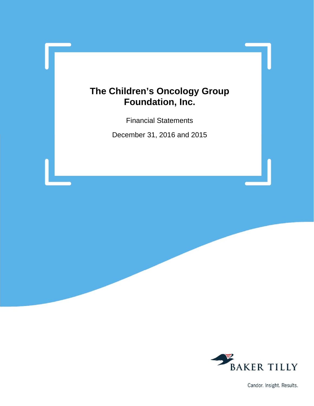Financial Statements

December 31, 2016 and 2015



Candor. Insight. Results.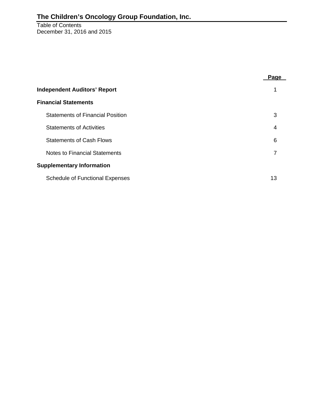Table of Contents December 31, 2016 and 2015

|                                         | Page |
|-----------------------------------------|------|
| <b>Independent Auditors' Report</b>     |      |
| <b>Financial Statements</b>             |      |
| <b>Statements of Financial Position</b> | 3    |
| <b>Statements of Activities</b>         | 4    |
| <b>Statements of Cash Flows</b>         | 6    |
| Notes to Financial Statements           | 7    |
| <b>Supplementary Information</b>        |      |
| <b>Schedule of Functional Expenses</b>  | 13   |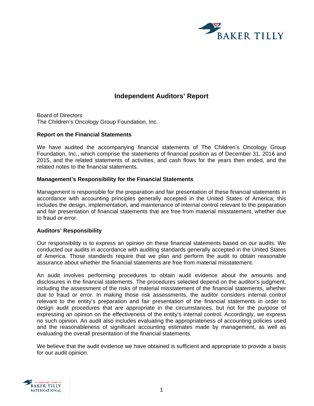

# **Independent Auditors' Report**

Board of Directors The Children's Oncology Group Foundation, Inc.

#### **Report on the Financial Statements**

We have audited the accompanying financial statements of The Children's Oncology Group Foundation, Inc., which comprise the statements of financial position as of December 31, 2016 and 2015, and the related statements of activities, and cash flows for the years then ended, and the related notes to the financial statements.

#### **Management's Responsibility for the Financial Statements**

Management is responsible for the preparation and fair presentation of these financial statements in accordance with accounting principles generally accepted in the United States of America; this includes the design, implementation, and maintenance of internal control relevant to the preparation and fair presentation of financial statements that are free from material misstatement, whether due to fraud or error.

#### **Auditors' Responsibility**

Our responsibility is to express an opinion on these financial statements based on our audits. We conducted our audits in accordance with auditing standards generally accepted in the United States of America. Those standards require that we plan and perform the audit to obtain reasonable assurance about whether the financial statements are free from material misstatement.

An audit involves performing procedures to obtain audit evidence about the amounts and disclosures in the financial statements. The procedures selected depend on the auditor's judgment, including the assessment of the risks of material misstatement of the financial statements, whether due to fraud or error. In making those risk assessments, the auditor considers internal control relevant to the entity's preparation and fair presentation of the financial statements in order to design audit procedures that are appropriate in the circumstances, but not for the purpose of expressing an opinion on the effectiveness of the entity's internal control. Accordingly, we express no such opinion. An audit also includes evaluating the appropriateness of accounting policies used and the reasonableness of significant accounting estimates made by management, as well as evaluating the overall presentation of the financial statements.

We believe that the audit evidence we have obtained is sufficient and appropriate to provide a basis for our audit opinion.

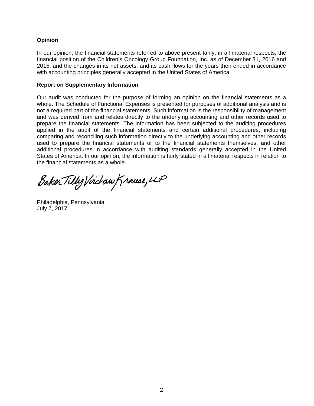## **Opinion**

In our opinion, the financial statements referred to above present fairly, in all material respects, the financial position of the Children's Oncology Group Foundation, Inc. as of December 31, 2016 and 2015, and the changes in its net assets, and its cash flows for the years then ended in accordance with accounting principles generally accepted in the United States of America.

#### **Report on Supplementary Information**

Our audit was conducted for the purpose of forming an opinion on the financial statements as a whole. The Schedule of Functional Expenses is presented for purposes of additional analysis and is not a required part of the financial statements. Such information is the responsibility of management and was derived from and relates directly to the underlying accounting and other records used to prepare the financial statements. The information has been subjected to the auditing procedures applied in the audit of the financial statements and certain additional procedures, including comparing and reconciling such information directly to the underlying accounting and other records used to prepare the financial statements or to the financial statements themselves, and other additional procedures in accordance with auditing standards generally accepted in the United States of America. In our opinion, the information is fairly stated in all material respects in relation to the financial statements as a whole.

Baker Tilly Virchaw Krause, LLP

Philadelphia, Pennsylvania July 7, 2017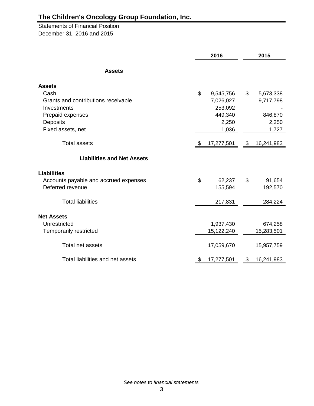Statements of Financial Position December 31, 2016 and 2015

|                                       | 2016 |            |    | 2015       |
|---------------------------------------|------|------------|----|------------|
| <b>Assets</b>                         |      |            |    |            |
| <b>Assets</b>                         |      |            |    |            |
| Cash                                  | \$   | 9,545,756  | \$ | 5,673,338  |
| Grants and contributions receivable   |      | 7,026,027  |    | 9,717,798  |
| Investments                           |      | 253,092    |    |            |
| Prepaid expenses                      |      | 449,340    |    | 846,870    |
| <b>Deposits</b>                       |      | 2,250      |    | 2,250      |
| Fixed assets, net                     |      | 1,036      |    | 1,727      |
| <b>Total assets</b>                   | \$   | 17,277,501 | \$ | 16,241,983 |
| <b>Liabilities and Net Assets</b>     |      |            |    |            |
| <b>Liabilities</b>                    |      |            |    |            |
| Accounts payable and accrued expenses | \$   | 62,237     | \$ | 91,654     |
| Deferred revenue                      |      | 155,594    |    | 192,570    |
| <b>Total liabilities</b>              |      | 217,831    |    | 284,224    |
| <b>Net Assets</b>                     |      |            |    |            |
| Unrestricted                          |      | 1,937,430  |    | 674,258    |
| Temporarily restricted                |      | 15,122,240 |    | 15,283,501 |
|                                       |      |            |    |            |
| Total net assets                      |      | 17,059,670 |    | 15,957,759 |
| Total liabilities and net assets      | \$   | 17,277,501 | \$ | 16,241,983 |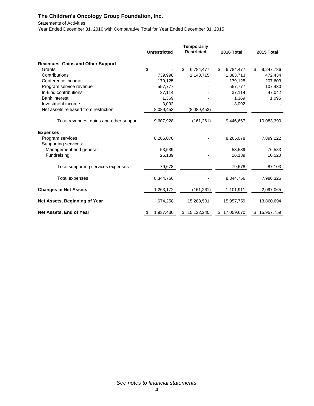Statements of Activities

Year Ended December 31, 2016 with Comparative Total for Year Ended December 31, 2015

|                                          | <b>Unrestricted</b> | <b>Temporarily</b><br><b>Restricted</b> | 2016 Total       | 2015 Total       |
|------------------------------------------|---------------------|-----------------------------------------|------------------|------------------|
| <b>Revenues, Gains and Other Support</b> |                     |                                         |                  |                  |
| Grants                                   | \$                  | \$<br>6,784,477                         | 6,784,477<br>\$  | \$<br>9,247,786  |
| Contributions                            | 739,998             | 1,143,715                               | 1,883,713        | 472,434          |
| Conference income                        | 179,125             |                                         | 179,125          | 207,603          |
| Program service revenue                  | 557,777             |                                         | 557,777          | 107,430          |
| In-kind contributions                    | 37,114              |                                         | 37,114           | 47,042           |
| <b>Bank interest</b>                     | 1,369               |                                         | 1,369            | 1,095            |
| Investment income                        | 3,092               |                                         | 3,092            |                  |
| Net assets released from restriction     | 8,089,453           | (8,089,453)                             |                  |                  |
| Total revenues, gains and other support  | 9,607,928           | (161, 261)                              | 9,446,667        | 10,083,390       |
| <b>Expenses</b>                          |                     |                                         |                  |                  |
| Program services                         | 8,265,078           |                                         | 8,265,078        | 7,899,222        |
| Supporting services:                     |                     |                                         |                  |                  |
| Management and general                   | 53,539              |                                         | 53.539           | 76,583           |
| Fundraising                              | 26,139              |                                         | 26,139           | 10,520           |
| Total supporting services expenses       | 79,678              |                                         | 79,678           | 87,103           |
| Total expenses                           | 8,344,756           |                                         | 8,344,756        | 7,986,325        |
| <b>Changes in Net Assets</b>             | 1,263,172           | (161, 261)                              | 1,101,911        | 2,097,065        |
| Net Assets, Beginning of Year            | 674,258             | 15,283,501                              | 15,957,759       | 13,860,694       |
| Net Assets, End of Year                  | \$<br>1,937,430     | 15,122,240<br>\$                        | 17,059,670<br>\$ | 15,957,759<br>\$ |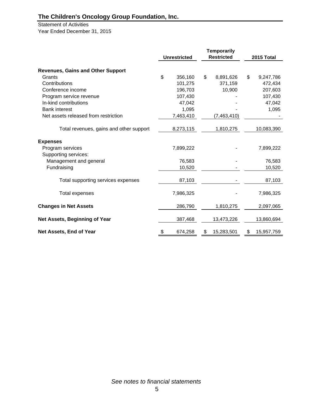Statement of Activities Year Ended December 31, 2015

|                                          |                     |    | <b>Temporarily</b> |                  |
|------------------------------------------|---------------------|----|--------------------|------------------|
|                                          | <b>Unrestricted</b> |    | <b>Restricted</b>  | 2015 Total       |
| <b>Revenues, Gains and Other Support</b> |                     |    |                    |                  |
| Grants                                   | \$<br>356,160       | \$ | 8,891,626          | \$<br>9,247,786  |
| Contributions                            | 101,275             |    | 371,159            | 472,434          |
| Conference income                        | 196,703             |    | 10,900             | 207,603          |
| Program service revenue                  | 107,430             |    |                    | 107,430          |
| In-kind contributions                    | 47,042              |    |                    | 47,042           |
| <b>Bank interest</b>                     | 1,095               |    |                    | 1,095            |
| Net assets released from restriction     | 7,463,410           |    | (7,463,410)        |                  |
| Total revenues, gains and other support  | 8,273,115           |    | 1,810,275          | 10,083,390       |
| <b>Expenses</b>                          |                     |    |                    |                  |
| Program services                         | 7,899,222           |    |                    | 7,899,222        |
| Supporting services:                     |                     |    |                    |                  |
| Management and general                   | 76,583              |    |                    | 76,583           |
| Fundraising                              | 10,520              |    |                    | 10,520           |
| Total supporting services expenses       | 87,103              |    |                    | 87,103           |
| <b>Total expenses</b>                    | 7,986,325           |    |                    | 7,986,325        |
| <b>Changes in Net Assets</b>             | 286,790             |    | 1,810,275          | 2,097,065        |
| Net Assets, Beginning of Year            | 387,468             |    | 13,473,226         | 13,860,694       |
| Net Assets, End of Year                  | \$<br>674,258       | \$ | 15,283,501         | \$<br>15,957,759 |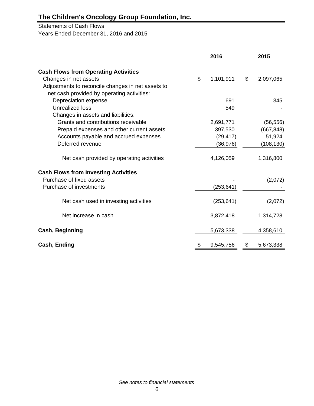# Statements of Cash Flows

Years Ended December 31, 2016 and 2015

|                                                                                                                                                                                     | 2016 |                                               |    | 2015                                            |  |  |
|-------------------------------------------------------------------------------------------------------------------------------------------------------------------------------------|------|-----------------------------------------------|----|-------------------------------------------------|--|--|
| <b>Cash Flows from Operating Activities</b><br>Changes in net assets<br>Adjustments to reconcile changes in net assets to                                                           | \$   | 1,101,911                                     | \$ | 2,097,065                                       |  |  |
| net cash provided by operating activities:<br>Depreciation expense<br>Unrealized loss                                                                                               |      | 691<br>549                                    |    | 345                                             |  |  |
| Changes in assets and liabilities:<br>Grants and contributions receivable<br>Prepaid expenses and other current assets<br>Accounts payable and accrued expenses<br>Deferred revenue |      | 2,691,771<br>397,530<br>(29, 417)<br>(36,976) |    | (56, 556)<br>(667, 848)<br>51,924<br>(108, 130) |  |  |
| Net cash provided by operating activities                                                                                                                                           |      | 4,126,059                                     |    | 1,316,800                                       |  |  |
| <b>Cash Flows from Investing Activities</b><br>Purchase of fixed assets<br>Purchase of investments                                                                                  |      | (253, 641)                                    |    | (2,072)                                         |  |  |
| Net cash used in investing activities                                                                                                                                               |      | (253, 641)                                    |    | (2,072)                                         |  |  |
| Net increase in cash                                                                                                                                                                |      | 3,872,418                                     |    | 1,314,728                                       |  |  |
| <b>Cash, Beginning</b>                                                                                                                                                              |      | 5,673,338                                     |    | 4,358,610                                       |  |  |
| Cash, Ending                                                                                                                                                                        | \$   | 9,545,756                                     | \$ | 5,673,338                                       |  |  |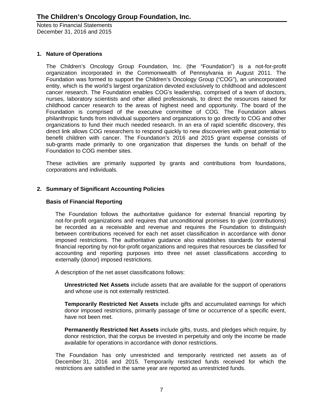## **1. Nature of Operations**

The Children's Oncology Group Foundation, Inc. (the "Foundation") is a not-for-profit organization incorporated in the Commonwealth of Pennsylvania in August 2011. The Foundation was formed to support the Children's Oncology Group ("COG"), an unincorporated entity, which is the world's largest organization devoted exclusively to childhood and adolescent cancer research. The Foundation enables COG's leadership, comprised of a team of doctors, nurses, laboratory scientists and other allied professionals, to direct the resources raised for childhood cancer research to the areas of highest need and opportunity. The board of the Foundation is comprised of the executive committee of COG. The Foundation allows philanthropic funds from individual supporters and organizations to go directly to COG and other organizations to fund their much needed research. In an era of rapid scientific discovery, this direct link allows COG researchers to respond quickly to new discoveries with great potential to benefit children with cancer. The Foundation's 2016 and 2015 grant expense consists of sub-grants made primarily to one organization that disperses the funds on behalf of the Foundation to COG member sites.

These activities are primarily supported by grants and contributions from foundations, corporations and individuals.

# **2. Summary of Significant Accounting Policies**

### **Basis of Financial Reporting**

The Foundation follows the authoritative guidance for external financial reporting by not-for-profit organizations and requires that unconditional promises to give (contributions) be recorded as a receivable and revenue and requires the Foundation to distinguish between contributions received for each net asset classification in accordance with donor imposed restrictions. The authoritative guidance also establishes standards for external financial reporting by not-for-profit organizations and requires that resources be classified for accounting and reporting purposes into three net asset classifications according to externally (donor) imposed restrictions.

A description of the net asset classifications follows:

**Unrestricted Net Assets** include assets that are available for the support of operations and whose use is not externally restricted.

**Temporarily Restricted Net Assets** include gifts and accumulated earnings for which donor imposed restrictions, primarily passage of time or occurrence of a specific event, have not been met.

**Permanently Restricted Net Assets** include gifts, trusts, and pledges which require, by donor restriction, that the corpus be invested in perpetuity and only the income be made available for operations in accordance with donor restrictions.

The Foundation has only unrestricted and temporarily restricted net assets as of December 31, 2016 and 2015. Temporarily restricted funds received for which the restrictions are satisfied in the same year are reported as unrestricted funds.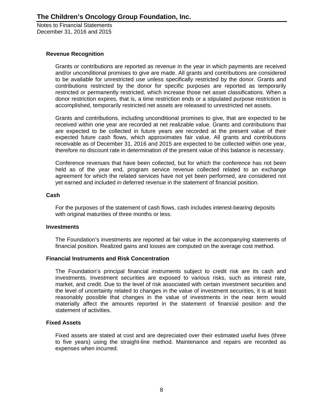## **Revenue Recognition**

Grants or contributions are reported as revenue in the year in which payments are received and/or unconditional promises to give are made. All grants and contributions are considered to be available for unrestricted use unless specifically restricted by the donor. Grants and contributions restricted by the donor for specific purposes are reported as temporarily restricted or permanently restricted, which increase those net asset classifications. When a donor restriction expires, that is, a time restriction ends or a stipulated purpose restriction is accomplished, temporarily restricted net assets are released to unrestricted net assets.

Grants and contributions, including unconditional promises to give, that are expected to be received within one year are recorded at net realizable value. Grants and contributions that are expected to be collected in future years are recorded at the present value of their expected future cash flows, which approximates fair value. All grants and contributions receivable as of December 31, 2016 and 2015 are expected to be collected within one year, therefore no discount rate in determination of the present value of this balance is necessary.

Conference revenues that have been collected, but for which the conference has not been held as of the year end, program service revenue collected related to an exchange agreement for which the related services have not yet been performed, are considered not yet earned and included in deferred revenue in the statement of financial position.

#### **Cash**

For the purposes of the statement of cash flows, cash includes interest-bearing deposits with original maturities of three months or less.

#### **Investments**

The Foundation's investments are reported at fair value in the accompanying statements of financial position. Realized gains and losses are computed on the average cost method.

#### **Financial Instruments and Risk Concentration**

The Foundation's principal financial instruments subject to credit risk are its cash and investments. Investment securities are exposed to various risks, such as interest rate, market, and credit. Due to the level of risk associated with certain investment securities and the level of uncertainty related to changes in the value of investment securities, it is at least reasonably possible that changes in the value of investments in the near term would materially affect the amounts reported in the statement of financial position and the statement of activities.

#### **Fixed Assets**

Fixed assets are stated at cost and are depreciated over their estimated useful lives (three to five years) using the straight-line method. Maintenance and repairs are recorded as expenses when incurred.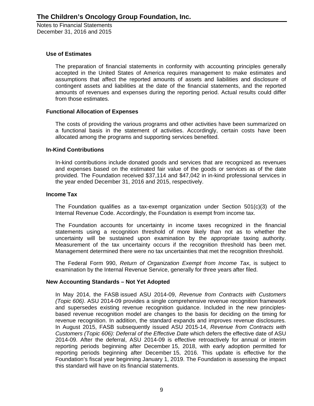## **Use of Estimates**

The preparation of financial statements in conformity with accounting principles generally accepted in the United States of America requires management to make estimates and assumptions that affect the reported amounts of assets and liabilities and disclosure of contingent assets and liabilities at the date of the financial statements, and the reported amounts of revenues and expenses during the reporting period. Actual results could differ from those estimates.

#### **Functional Allocation of Expenses**

The costs of providing the various programs and other activities have been summarized on a functional basis in the statement of activities. Accordingly, certain costs have been allocated among the programs and supporting services benefited.

#### **In-Kind Contributions**

In-kind contributions include donated goods and services that are recognized as revenues and expenses based on the estimated fair value of the goods or services as of the date provided. The Foundation received \$37,114 and \$47,042 in in-kind professional services in the year ended December 31, 2016 and 2015, respectively.

#### **Income Tax**

The Foundation qualifies as a tax-exempt organization under Section 501(c)(3) of the Internal Revenue Code. Accordingly, the Foundation is exempt from income tax.

The Foundation accounts for uncertainty in income taxes recognized in the financial statements using a recognition threshold of more likely than not as to whether the uncertainty will be sustained upon examination by the appropriate taxing authority. Measurement of the tax uncertainty occurs if the recognition threshold has been met. Management determined there were no tax uncertainties that met the recognition threshold.

The Federal Form 990, *Return of Organization Exempt from Income Tax*, is subject to examination by the Internal Revenue Service, generally for three years after filed.

#### **New Accounting Standards – Not Yet Adopted**

In May 2014, the FASB issued ASU 2014-09, *Revenue from Contracts with Customers (Topic 606)*. ASU 2014-09 provides a single comprehensive revenue recognition framework and supersedes existing revenue recognition guidance. Included in the new principlesbased revenue recognition model are changes to the basis for deciding on the timing for revenue recognition. In addition, the standard expands and improves revenue disclosures. In August 2015, FASB subsequently issued ASU 2015-14, *Revenue from Contracts with Customers (Topic 606): Deferral of the Effective Date* which defers the effective date of ASU 2014-09. After the deferral, ASU 2014-09 is effective retroactively for annual or interim reporting periods beginning after December 15, 2018, with early adoption permitted for reporting periods beginning after December 15, 2016. This update is effective for the Foundation's fiscal year beginning January 1, 2019. The Foundation is assessing the impact this standard will have on its financial statements.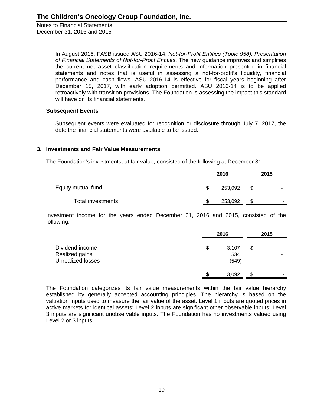> In August 2016, FASB issued ASU 2016-14, *Not-for-Profit Entities (Topic 958): Presentation of Financial Statements of Not-for-Profit Entities*. The new guidance improves and simplifies the current net asset classification requirements and information presented in financial statements and notes that is useful in assessing a not-for-profit's liquidity, financial performance and cash flows. ASU 2016-14 is effective for fiscal years beginning after December 15, 2017, with early adoption permitted. ASU 2016-14 is to be applied retroactively with transition provisions. The Foundation is assessing the impact this standard will have on its financial statements.

#### **Subsequent Events**

Subsequent events were evaluated for recognition or disclosure through July 7, 2017, the date the financial statements were available to be issued.

## **3. Investments and Fair Value Measurements**

The Foundation's investments, at fair value, consisted of the following at December 31:

|                    |  | 2015    |     |                          |  |
|--------------------|--|---------|-----|--------------------------|--|
| Equity mutual fund |  | 253,092 | \$. | $\overline{\phantom{a}}$ |  |
| Total investments  |  | 253,092 | \$. | -                        |  |

Investment income for the years ended December 31, 2016 and 2015, consisted of the following:

| Dividend income                            |    | 2016         | 2015    |
|--------------------------------------------|----|--------------|---------|
|                                            | \$ | 3,107        | \$<br>۰ |
| Realized gains<br><b>Unrealized losses</b> |    | 534<br>(549) |         |
|                                            | S  | 3,092        | \$<br>- |

The Foundation categorizes its fair value measurements within the fair value hierarchy established by generally accepted accounting principles. The hierarchy is based on the valuation inputs used to measure the fair value of the asset. Level 1 inputs are quoted prices in active markets for identical assets; Level 2 inputs are significant other observable inputs; Level 3 inputs are significant unobservable inputs. The Foundation has no investments valued using Level 2 or 3 inputs.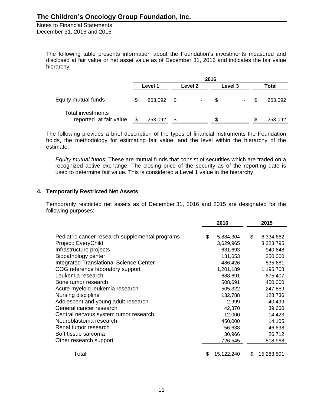> The following table presents information about the Foundation's investments measured and disclosed at fair value or net asset value as of December 31, 2016 and indicates the fair value hierarchy:

|                                             | 2016 |         |  |         |  |         |  |         |  |
|---------------------------------------------|------|---------|--|---------|--|---------|--|---------|--|
|                                             |      | Level 1 |  | Level 2 |  | Level 3 |  | Total   |  |
| Equity mutual funds                         |      | 253,092 |  | ۰.      |  | ۰       |  | 253,092 |  |
| Total investments<br>reported at fair value |      | 253,092 |  | ۰       |  | ۰.      |  | 253,092 |  |

The following provides a brief description of the types of financial instruments the Foundation holds, the methodology for estimating fair value, and the level within the hierarchy of the estimate:

*Equity mutual funds*: These are mutual funds that consist of securities which are traded on a recognized active exchange. The closing price of the security as of the reporting date is used to determine fair value. This is considered a Level 1 value in the hierarchy.

## **4. Temporarily Restricted Net Assets**

Temporarily restricted net assets as of December 31, 2016 and 2015 are designated for the following purposes:

|                                                 | 2016             | 2015             |
|-------------------------------------------------|------------------|------------------|
|                                                 |                  |                  |
| Pediatric cancer research supplemental programs | \$<br>5,884,304  | \$<br>6,334,662  |
| Project: EveryChild                             | 3,629,965        | 3,223,795        |
| Infrastructure projects                         | 631,693          | 940,648          |
| Biopathology center                             | 131,653          | 250,000          |
| <b>Integrated Translational Science Center</b>  | 486,426          | 835,681          |
| COG reference laboratory support                | 1,201,189        | 1,195,708        |
| Leukemia research                               | 688,691          | 675,407          |
| Bone tumor research                             | 508,691          | 450,000          |
| Acute myeloid leukemia research                 | 505,322          | 247,859          |
| Nursing discipline                              | 132,788          | 128,736          |
| Adolescent and young adult research             | 2,999            | 40,499           |
| General cancer research                         | 42,370           | 39,660           |
| Central nervous system tumor research           | 12,000           | 14,423           |
| Neuroblastoma research                          | 450,000          | 14,105           |
| Renal tumor research                            | 56,638           | 46,638           |
| Soft tissue sarcoma                             | 30,966           | 26,712           |
| Other research support                          | 726,545          | 818,968          |
|                                                 |                  |                  |
| Total                                           | \$<br>15,122,240 | \$<br>15,283,501 |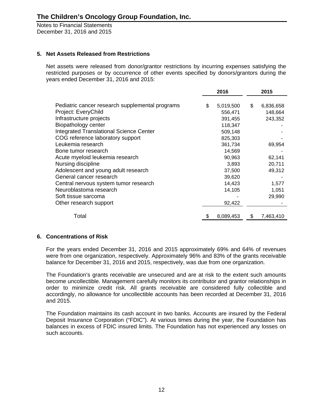# **5. Net Assets Released from Restrictions**

Net assets were released from donor/grantor restrictions by incurring expenses satisfying the restricted purposes or by occurrence of other events specified by donors/grantors during the years ended December 31, 2016 and 2015:

| 2016 |         |                                   | 2015      |  |
|------|---------|-----------------------------------|-----------|--|
|      |         |                                   |           |  |
|      |         |                                   | 6,836,658 |  |
|      |         |                                   | 148,664   |  |
|      | 391,455 |                                   | 243,352   |  |
|      | 118,347 |                                   |           |  |
|      | 509,148 |                                   |           |  |
|      | 825,303 |                                   |           |  |
|      | 361,734 |                                   | 69,954    |  |
|      | 14,569  |                                   |           |  |
|      | 90,963  |                                   | 62,141    |  |
|      | 3,893   |                                   | 20,711    |  |
|      | 37,500  |                                   | 49,312    |  |
|      | 39,620  |                                   |           |  |
|      | 14,423  |                                   | 1,577     |  |
|      | 14,105  |                                   | 1,051     |  |
|      |         |                                   | 29,990    |  |
|      | 92,422  |                                   |           |  |
|      |         |                                   | 7,463,410 |  |
|      | \$      | 5,019,500<br>556,471<br>8,089,453 | \$<br>\$  |  |

## **6. Concentrations of Risk**

For the years ended December 31, 2016 and 2015 approximately 69% and 64% of revenues were from one organization, respectively. Approximately 96% and 83% of the grants receivable balance for December 31, 2016 and 2015, respectively, was due from one organization.

The Foundation's grants receivable are unsecured and are at risk to the extent such amounts become uncollectible. Management carefully monitors its contributor and grantor relationships in order to minimize credit risk. All grants receivable are considered fully collectible and accordingly, no allowance for uncollectible accounts has been recorded at December 31, 2016 and 2015.

The Foundation maintains its cash account in two banks. Accounts are insured by the Federal Deposit Insurance Corporation ("FDIC"). At various times during the year, the Foundation has balances in excess of FDIC insured limits. The Foundation has not experienced any losses on such accounts.